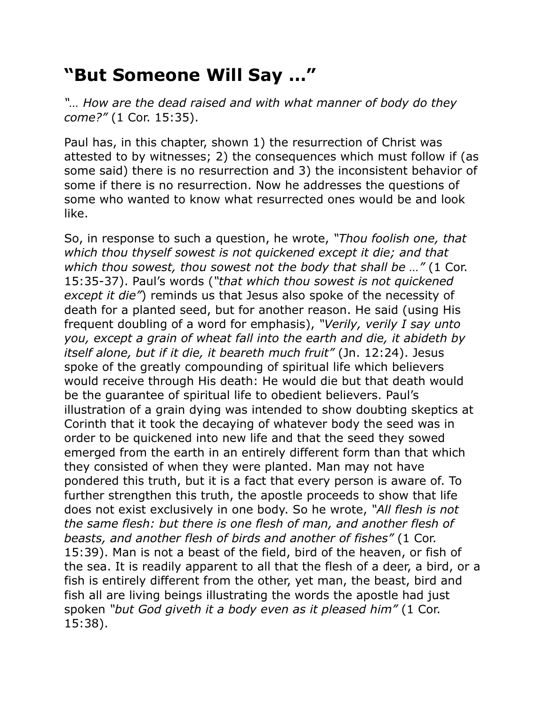## **"But Someone Will Say …"**

*"… How are the dead raised and with what manner of body do they come?"* (1 Cor. 15:35).

Paul has, in this chapter, shown 1) the resurrection of Christ was attested to by witnesses; 2) the consequences which must follow if (as some said) there is no resurrection and 3) the inconsistent behavior of some if there is no resurrection. Now he addresses the questions of some who wanted to know what resurrected ones would be and look like.

So, in response to such a question, he wrote, *"Thou foolish one, that which thou thyself sowest is not quickened except it die; and that which thou sowest, thou sowest not the body that shall be …"* (1 Cor. 15:35-37). Paul's words (*"that which thou sowest is not quickened except it die"*) reminds us that Jesus also spoke of the necessity of death for a planted seed, but for another reason. He said (using His frequent doubling of a word for emphasis), *"Verily, verily I say unto you, except a grain of wheat fall into the earth and die, it abideth by itself alone, but if it die, it beareth much fruit"* (Jn. 12:24). Jesus spoke of the greatly compounding of spiritual life which believers would receive through His death: He would die but that death would be the guarantee of spiritual life to obedient believers. Paul's illustration of a grain dying was intended to show doubting skeptics at Corinth that it took the decaying of whatever body the seed was in order to be quickened into new life and that the seed they sowed emerged from the earth in an entirely different form than that which they consisted of when they were planted. Man may not have pondered this truth, but it is a fact that every person is aware of. To further strengthen this truth, the apostle proceeds to show that life does not exist exclusively in one body. So he wrote, *"All flesh is not the same flesh: but there is one flesh of man, and another flesh of beasts, and another flesh of birds and another of fishes"* (1 Cor. 15:39). Man is not a beast of the field, bird of the heaven, or fish of the sea. It is readily apparent to all that the flesh of a deer, a bird, or a fish is entirely different from the other, yet man, the beast, bird and fish all are living beings illustrating the words the apostle had just spoken *"but God giveth it a body even as it pleased him"* (1 Cor. 15:38).